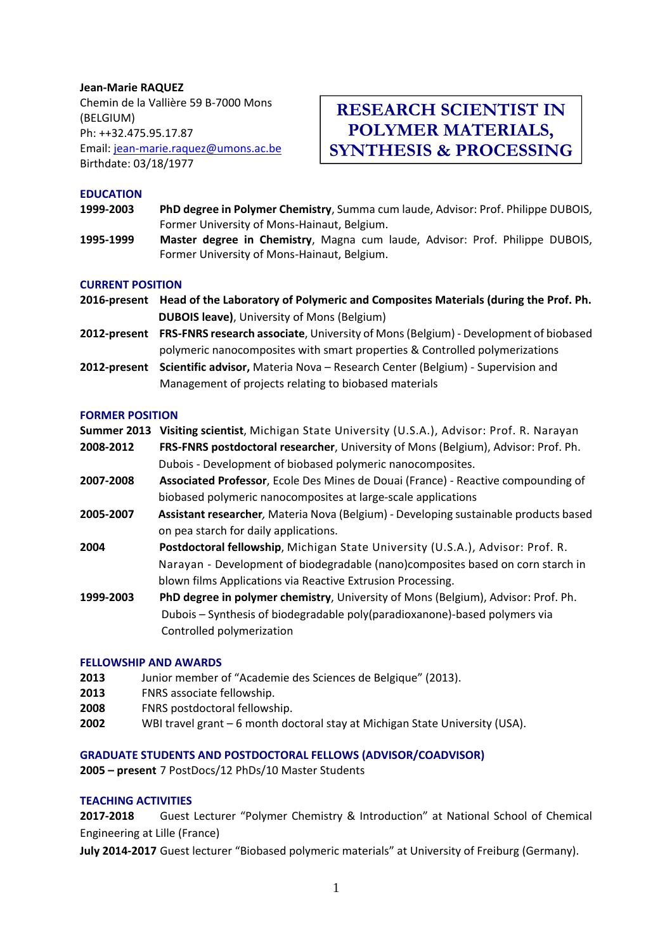# **Jean‐Marie RAQUEZ** Chemin de la Vallière 59 B‐7000 Mons (BELGIUM) Ph: ++32.475.95.17.87 Email: jean‐marie.raquez@umons.ac.be Birthdate: 03/18/1977

# **RESEARCH SCIENTIST IN POLYMER MATERIALS, SYNTHESIS & PROCESSING**

## **EDUCATION**

- **1999‐2003 PhD degree in Polymer Chemistry**, Summa cum laude, Advisor: Prof. Philippe DUBOIS, Former University of Mons‐Hainaut, Belgium.
- **1995‐1999 Master degree in Chemistry**, Magna cum laude, Advisor: Prof. Philippe DUBOIS, Former University of Mons‐Hainaut, Belgium.

#### **CURRENT POSITION**

- 2016-present Head of the Laboratory of Polymeric and Composites Materials (during the Prof. Ph.  **DUBOIS leave)**, University of Mons (Belgium)
- **2012‐present FRS‐FNRS research associate**, University of Mons(Belgium) ‐ Development of biobased polymeric nanocomposites with smart properties & Controlled polymerizations
- **2012‐present Scientific advisor,** Materia Nova Research Center (Belgium) ‐ Supervision and Management of projects relating to biobased materials

## **FORMER POSITION**

**Summer 2013 Visiting scientist**, Michigan State University (U.S.A.), Advisor: Prof. R. Narayan

- **2008‐2012 FRS‐FNRS postdoctoral researcher**, University of Mons (Belgium), Advisor: Prof. Ph. Dubois ‐ Development of biobased polymeric nanocomposites.
- **2007‐2008 Associated Professor**, Ecole Des Mines de Douai (France) ‐ Reactive compounding of biobased polymeric nanocomposites at large‐scale applications
- **2005‐2007 Assistant researcher***,* Materia Nova (Belgium) ‐ Developing sustainable products based on pea starch for daily applications.
- **2004 Postdoctoral fellowship**, Michigan State University (U.S.A.), Advisor: Prof. R. Narayan ‐ Development of biodegradable (nano)composites based on corn starch in blown films Applications via Reactive Extrusion Processing.
- **1999‐2003 PhD degree in polymer chemistry**, University of Mons (Belgium), Advisor: Prof. Ph. Dubois – Synthesis of biodegradable poly(paradioxanone)‐based polymers via Controlled polymerization

#### **FELLOWSHIP AND AWARDS**

- **2013** Junior member of "Academie des Sciences de Belgique" (2013).
- **2013** FNRS associate fellowship.
- **2008** FNRS postdoctoral fellowship.
- **2002** WBI travel grant 6 month doctoral stay at Michigan State University (USA).

# **GRADUATE STUDENTS AND POSTDOCTORAL FELLOWS (ADVISOR/COADVISOR)**

**2005 – present** 7 PostDocs/12 PhDs/10 Master Students

# **TEACHING ACTIVITIES**

**2017‐2018** Guest Lecturer "Polymer Chemistry & Introduction" at National School of Chemical Engineering at Lille (France)

**July 2014‐2017** Guest lecturer "Biobased polymeric materials" at University of Freiburg (Germany).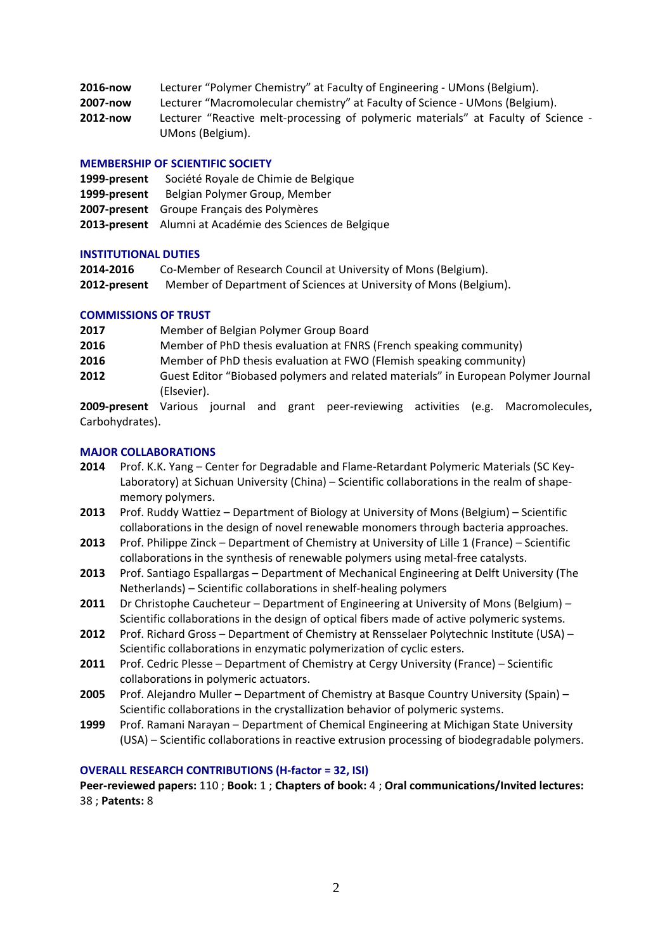| 2016-now | Lecturer "Polymer Chemistry" at Faculty of Engineering - UMons (Belgium).                              |
|----------|--------------------------------------------------------------------------------------------------------|
| 2007-now | Lecturer "Macromolecular chemistry" at Faculty of Science - UMons (Belgium).                           |
| 2012-now | Lecturer "Reactive melt-processing of polymeric materials" at Faculty of Science -<br>UMons (Belgium). |

## **MEMBERSHIP OF SCIENTIFIC SOCIETY**

- **1999‐present** Société Royale de Chimie de Belgique **1999‐present** Belgian Polymer Group, Member
- **2007‐present** Groupe Français des Polymères
- **2013‐present** Alumni at Académie des Sciences de Belgique

## **INSTITUTIONAL DUTIES**

| 2014-2016    | Co-Member of Research Council at University of Mons (Belgium).    |
|--------------|-------------------------------------------------------------------|
| 2012-present | Member of Department of Sciences at University of Mons (Belgium). |

## **COMMISSIONS OF TRUST**

| 2017 | Member of Belgian Polymer Group Board                                              |
|------|------------------------------------------------------------------------------------|
| 2016 | Member of PhD thesis evaluation at FNRS (French speaking community)                |
| 2016 | Member of PhD thesis evaluation at FWO (Flemish speaking community)                |
| 2012 | Guest Editor "Biobased polymers and related materials" in European Polymer Journal |
|      | (Elsevier).                                                                        |

**2009-present** Various journal and grant peer-reviewing activities (e.g. Macromolecules, Carbohydrates).

## **MAJOR COLLABORATIONS**

- **2014** Prof. K.K. Yang Center for Degradable and Flame‐Retardant Polymeric Materials (SC Key‐ Laboratory) at Sichuan University (China) – Scientific collaborations in the realm of shape‐ memory polymers.
- **2013** Prof. Ruddy Wattiez Department of Biology at University of Mons (Belgium) Scientific collaborations in the design of novel renewable monomers through bacteria approaches.
- **2013** Prof. Philippe Zinck Department of Chemistry at University of Lille 1 (France) Scientific collaborations in the synthesis of renewable polymers using metal‐free catalysts.
- **2013** Prof. Santiago Espallargas Department of Mechanical Engineering at Delft University (The Netherlands) – Scientific collaborations in shelf‐healing polymers
- **2011** Dr Christophe Caucheteur Department of Engineering at University of Mons (Belgium) Scientific collaborations in the design of optical fibers made of active polymeric systems.
- **2012** Prof. Richard Gross Department of Chemistry at Rensselaer Polytechnic Institute (USA) Scientific collaborations in enzymatic polymerization of cyclic esters.
- **2011** Prof. Cedric Plesse Department of Chemistry at Cergy University (France) Scientific collaborations in polymeric actuators.
- **2005** Prof. Alejandro Muller Department of Chemistry at Basque Country University (Spain) Scientific collaborations in the crystallization behavior of polymeric systems.
- **1999** Prof. Ramani Narayan Department of Chemical Engineering at Michigan State University (USA) – Scientific collaborations in reactive extrusion processing of biodegradable polymers.

#### **OVERALL RESEARCH CONTRIBUTIONS (H‐factor = 32, ISI)**

**Peer‐reviewed papers:** 110 ; **Book:** 1 ; **Chapters of book:** 4 ; **Oral communications/Invited lectures:** 38 ; **Patents:** 8